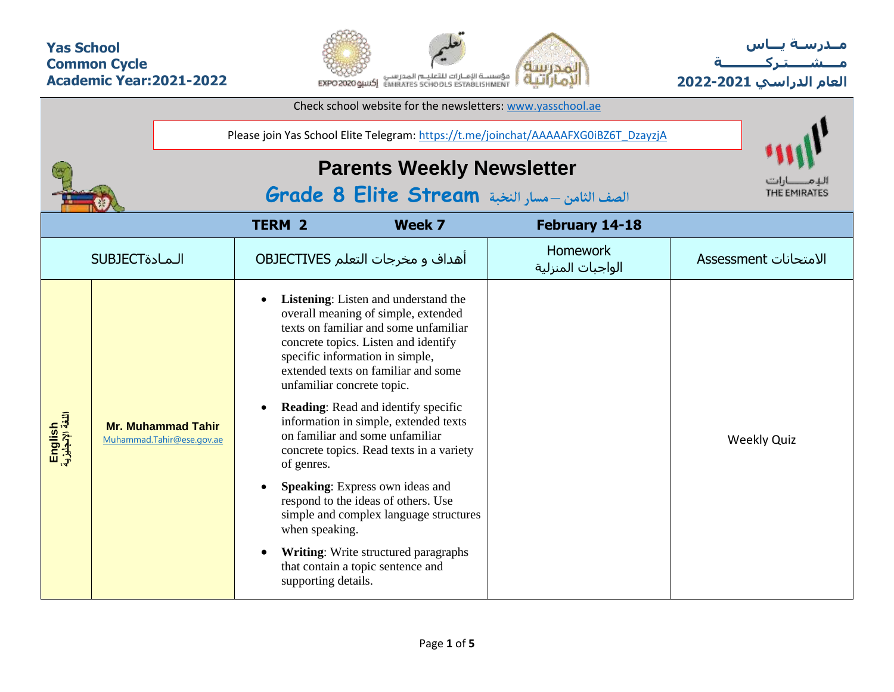## **Yas School Common Cycle Academic Year:2021-2022**



**مــدرسـة يـــاس مــــشـ ـــ ـتـ ركـ ــــــــــ ة العام الدراسي -2021 2022**

| Check school website for the newsletters: www.yasschool.ae                        |                                                        |                                                                                     |                                                                                                                          |                                                                                                                                                                                                                                                                                                                                                                                                                                                                                                                                                                                                                             |                                      |                       |  |  |  |  |  |  |
|-----------------------------------------------------------------------------------|--------------------------------------------------------|-------------------------------------------------------------------------------------|--------------------------------------------------------------------------------------------------------------------------|-----------------------------------------------------------------------------------------------------------------------------------------------------------------------------------------------------------------------------------------------------------------------------------------------------------------------------------------------------------------------------------------------------------------------------------------------------------------------------------------------------------------------------------------------------------------------------------------------------------------------------|--------------------------------------|-----------------------|--|--|--|--|--|--|
|                                                                                   |                                                        | Please join Yas School Elite Telegram: https://t.me/joinchat/AAAAAFXG0iBZ6T_DzayzjA |                                                                                                                          |                                                                                                                                                                                                                                                                                                                                                                                                                                                                                                                                                                                                                             |                                      |                       |  |  |  |  |  |  |
| <b>Parents Weekly Newsletter</b><br>الصف الثامن -مسار النخبة Grade 8 Elite Stream |                                                        |                                                                                     |                                                                                                                          |                                                                                                                                                                                                                                                                                                                                                                                                                                                                                                                                                                                                                             |                                      |                       |  |  |  |  |  |  |
|                                                                                   |                                                        |                                                                                     |                                                                                                                          |                                                                                                                                                                                                                                                                                                                                                                                                                                                                                                                                                                                                                             |                                      |                       |  |  |  |  |  |  |
|                                                                                   | <b>SUBJECT</b>                                         |                                                                                     |                                                                                                                          | أهداف و مخرجات التعلم OBJECTIVES                                                                                                                                                                                                                                                                                                                                                                                                                                                                                                                                                                                            | <b>Homework</b><br>الواجبات المنزلية | الامتحانات Assessment |  |  |  |  |  |  |
| English<br>اللغة لإنجليزية                                                        | <b>Mr. Muhammad Tahir</b><br>Muhammad.Tahir@ese.gov.ae |                                                                                     | unfamiliar concrete topic.<br>$\bullet$<br>of genres.<br>$\bullet$<br>when speaking.<br>$\bullet$<br>supporting details. | <b>Listening:</b> Listen and understand the<br>overall meaning of simple, extended<br>texts on familiar and some unfamiliar<br>concrete topics. Listen and identify<br>specific information in simple,<br>extended texts on familiar and some<br><b>Reading:</b> Read and identify specific<br>information in simple, extended texts<br>on familiar and some unfamiliar<br>concrete topics. Read texts in a variety<br>Speaking: Express own ideas and<br>respond to the ideas of others. Use<br>simple and complex language structures<br><b>Writing:</b> Write structured paragraphs<br>that contain a topic sentence and |                                      | <b>Weekly Quiz</b>    |  |  |  |  |  |  |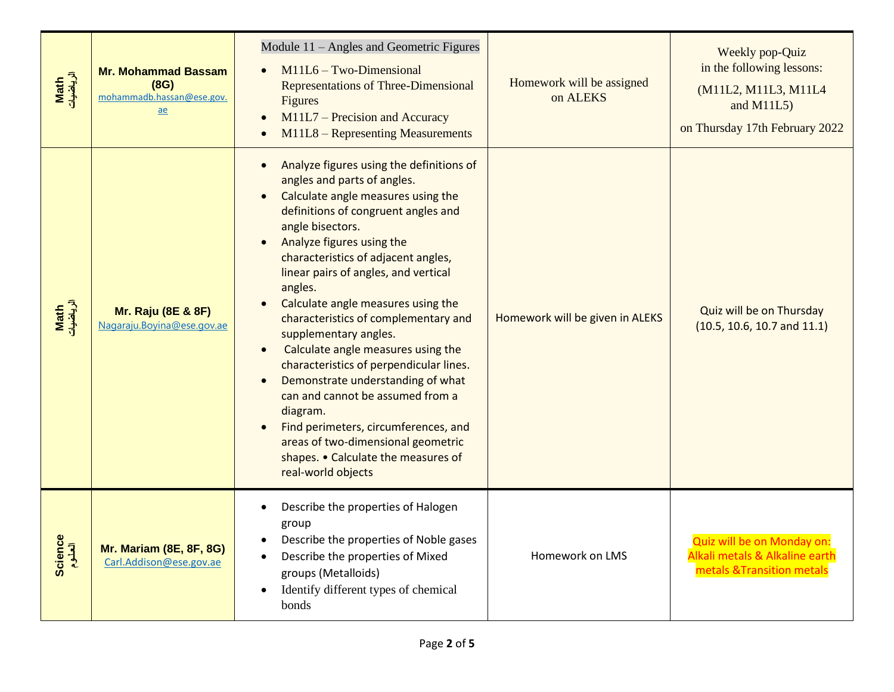| Math<br>الرياضيات | <b>Mr. Mohammad Bassam</b><br>(8G)<br>mohammadb.hassan@ese.gov.<br>ae | Module 11 - Angles and Geometric Figures<br>$M11L6 - Two-Dimensional$<br>Representations of Three-Dimensional<br>Figures<br>M11L7 – Precision and Accuracy<br>M11L8 - Representing Measurements                                                                                                                                                                                                                                                                                                                                                                                                                                                                                                                                                                | Homework will be assigned<br>on ALEKS | Weekly pop-Quiz<br>in the following lessons:<br>(M11L2, M11L3, M11L4<br>and $M11L5$ )<br>on Thursday 17th February 2022 |  |  |  |  |
|-------------------|-----------------------------------------------------------------------|----------------------------------------------------------------------------------------------------------------------------------------------------------------------------------------------------------------------------------------------------------------------------------------------------------------------------------------------------------------------------------------------------------------------------------------------------------------------------------------------------------------------------------------------------------------------------------------------------------------------------------------------------------------------------------------------------------------------------------------------------------------|---------------------------------------|-------------------------------------------------------------------------------------------------------------------------|--|--|--|--|
| Math<br>الرياضيات | <b>Mr. Raju (8E &amp; 8F)</b><br>Nagaraju.Boyina@ese.gov.ae           | Analyze figures using the definitions of<br>$\bullet$<br>angles and parts of angles.<br>Calculate angle measures using the<br>definitions of congruent angles and<br>angle bisectors.<br>Analyze figures using the<br>characteristics of adjacent angles,<br>linear pairs of angles, and vertical<br>angles.<br>Calculate angle measures using the<br>characteristics of complementary and<br>supplementary angles.<br>Calculate angle measures using the<br>$\bullet$<br>characteristics of perpendicular lines.<br>Demonstrate understanding of what<br>$\bullet$<br>can and cannot be assumed from a<br>diagram.<br>Find perimeters, circumferences, and<br>areas of two-dimensional geometric<br>shapes. • Calculate the measures of<br>real-world objects | Homework will be given in ALEKS       | Quiz will be on Thursday<br>(10.5, 10.6, 10.7, and 11.1)                                                                |  |  |  |  |
| Science           | <b>Mr. Mariam (8E, 8F, 8G)</b><br>Carl.Addison@ese.gov.ae             | Describe the properties of Halogen<br>$\bullet$<br>group<br>Describe the properties of Noble gases<br>٠<br>Describe the properties of Mixed<br>groups (Metalloids)<br>Identify different types of chemical<br>$\bullet$<br>bonds                                                                                                                                                                                                                                                                                                                                                                                                                                                                                                                               | Homework on LMS                       | Quiz will be on Monday on:<br>Alkali metals & Alkaline earth<br>metals & Transition metals                              |  |  |  |  |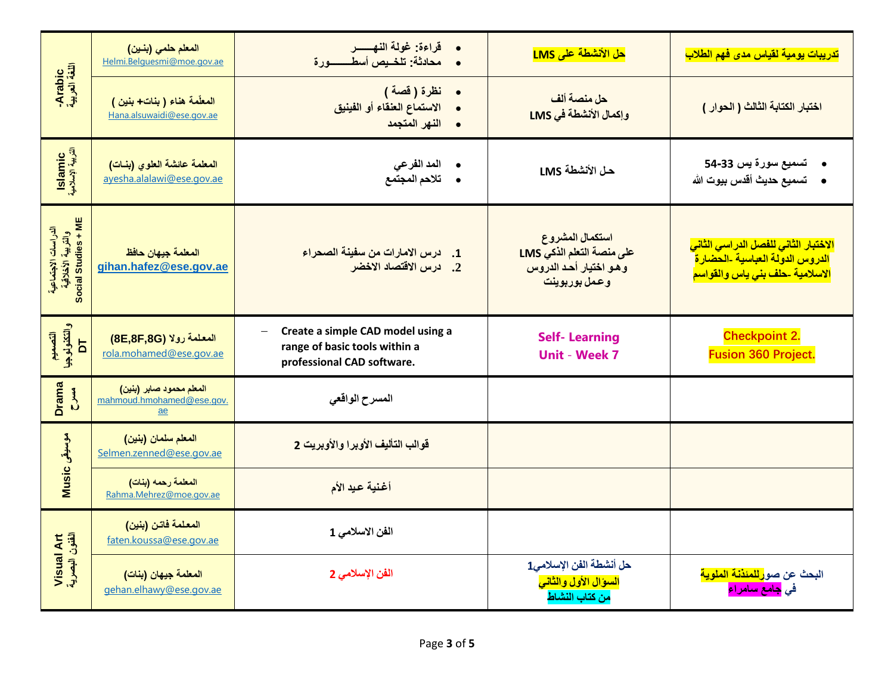|                                                                  | المعلم حلمي (بنين)<br>Helmi.Belquesmi@moe.gov.ae                                        | قراءة: غولة النهسسر<br>محادثة: تلخـيص أسطــــــــــورة                                           | حل الأنشطة على LMS                                                                     | تدريبات يومية لقياس مدى فهم الطلاب                                                                                              |
|------------------------------------------------------------------|-----------------------------------------------------------------------------------------|--------------------------------------------------------------------------------------------------|----------------------------------------------------------------------------------------|---------------------------------------------------------------------------------------------------------------------------------|
| -Arabic<br>اللغة العربية                                         | المعلّمة هناء (بنات+بنين)<br>Hana.alsuwaidi@ese.gov.ae                                  | نظرة ( قصة )<br>$\bullet$<br>الاستماع العلقاء أو الفينيق<br>النهر المتجمد<br>$\bullet$           | حل منصة ألف<br>وإكمال الأنشطة في LMS                                                   | اختبار الكتابة الثالث ( الحوار )                                                                                                |
| Islamic<br>التربية الإسلامية                                     | المعلمة عائشة العلوى (بنات)<br>ayesha.alalawi@ese.gov.ae                                | المد الفر عي<br>تلاحم المجتمع                                                                    | حل الأنشطة LMS                                                                         | تسميع سورة يس 33-54<br>•     تسميع حديث أقدس بيوت الله                                                                          |
| الدراسات الاجتماعية<br>والتربية الأخلاقية<br>Social Studies + ME | المعلمة جيهان حافظ<br>gihan.hafez@ese.gov.ae                                            | درس الامارات من سفينة الصحراء<br>$\cdot$ 1<br>2. درس الاقتصاد الاخضر                             | استكمال المشروع<br>على منصة التعلم الذكي LMS<br>وهو اختيار أحد الدروس<br>وعمل بوربوينت | <mark>الاختبار الثاني للفصل الدراسي الثاني</mark><br>الدروس الدولة العباسية -الحضارة<br>الاسلامية -حلف بن <i>ي</i> ياس والقواسم |
| التصعيم<br>والتكذولوجيا<br>1C                                    | المعلمة رولا (8E,8F,8G)<br>rola.mohamed@ese.gov.ae                                      | Create a simple CAD model using a<br>range of basic tools within a<br>professional CAD software. | <b>Self-Learning</b><br><b>Unit - Week 7</b>                                           | <b>Checkpoint 2.</b><br><b>Fusion 360 Project.</b>                                                                              |
| Drama<br><b>MAC</b>                                              | ا <mark>لمعلم محمود صابر (بنين)</mark><br>mahmoud.hmohamed@ese.gov.<br>$\underline{ae}$ | المسرح الواقعى                                                                                   |                                                                                        |                                                                                                                                 |
| موسيقى Music                                                     | المعلم سلمان (بنين)<br>Selmen.zenned@ese.gov.ae                                         | قوالب التأليف الأوبرا والأوبريت 2                                                                |                                                                                        |                                                                                                                                 |
|                                                                  | المعلمة رحمه (بنات)<br>Rahma.Mehrez@moe.gov.ae                                          | أغنية عيد الأم                                                                                   |                                                                                        |                                                                                                                                 |
|                                                                  | المعلمة فاتن (بنين)<br>faten.koussa@ese.gov.ae                                          | الفن الاسلامي 1                                                                                  |                                                                                        |                                                                                                                                 |
| Visual Art<br>الفئون البصرية                                     | المعلمة جيهان (بنات)<br>gehan.elhawy@ese.gov.ae                                         | الفن الإسلامي 2                                                                                  | حل أنشطة الفن الإسلامي1<br>السوال الأول والثاني<br>من كتاب النشاط                      | البحث عن صو <mark>رللمئذنة الملوية</mark><br>في <mark>جامع سامراء</mark>                                                        |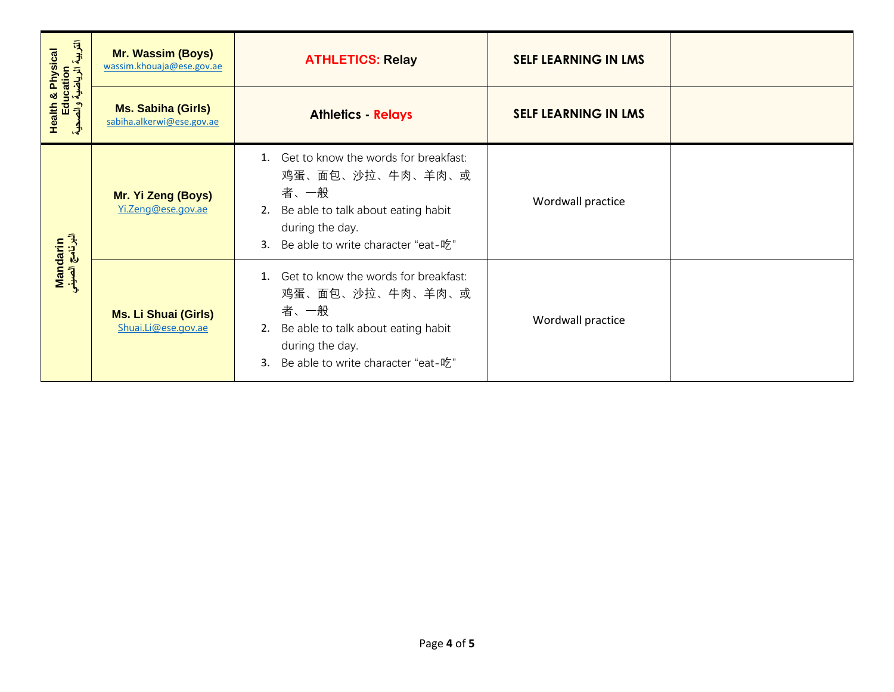| Health & Physical<br>Education<br>التربية الرياضية والصحية | <b>Mr. Wassim (Boys)</b><br>wassim.khouaja@ese.gov.ae  | <b>ATHLETICS: Relay</b>                                                                                                                                                        | <b>SELF LEARNING IN LMS</b> |  |
|------------------------------------------------------------|--------------------------------------------------------|--------------------------------------------------------------------------------------------------------------------------------------------------------------------------------|-----------------------------|--|
|                                                            | <b>Ms. Sabiha (Girls)</b><br>sabiha.alkerwi@ese.gov.ae | <b>Athletics - Relays</b>                                                                                                                                                      | <b>SELF LEARNING IN LMS</b> |  |
|                                                            | Mr. Yi Zeng (Boys)<br>Yi.Zeng@ese.gov.ae               | 1. Get to know the words for breakfast:<br>鸡蛋、面包、沙拉、牛肉、羊肉、或<br>者、一般<br>Be able to talk about eating habit<br>2.<br>during the day.<br>Be able to write character "eat-吃"<br>3. | Wordwall practice           |  |
| Mandarin<br>البرنامج الصيني                                | <b>Ms. Li Shuai (Girls)</b><br>Shuai.Li@ese.gov.ae     | 1. Get to know the words for breakfast:<br>鸡蛋、面包、沙拉、牛肉、羊肉、或<br>者、一般<br>Be able to talk about eating habit<br>2.<br>during the day.<br>Be able to write character "eat-吃"<br>3. | Wordwall practice           |  |